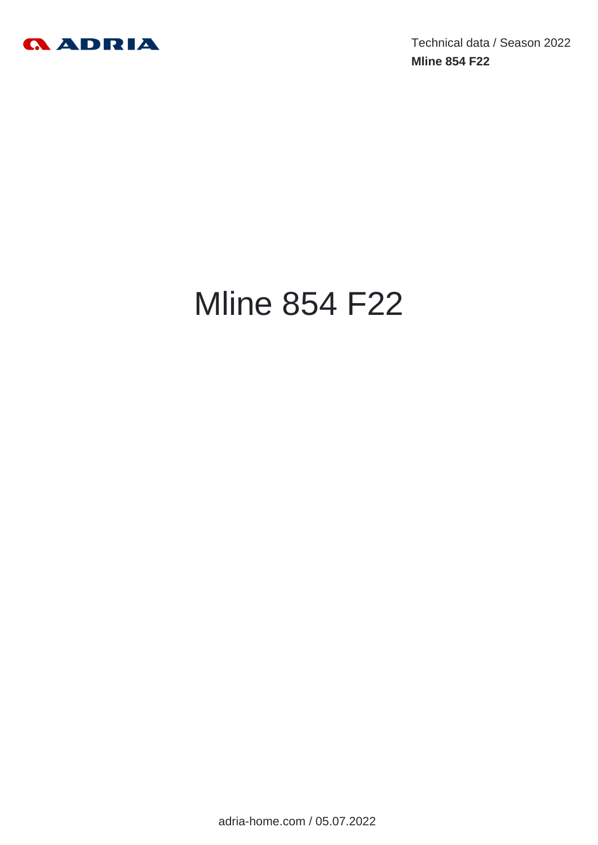

Technical data / Season 2022 **Mline 854 F22**

# Mline 854 F22

adria-home.com / 05.07.2022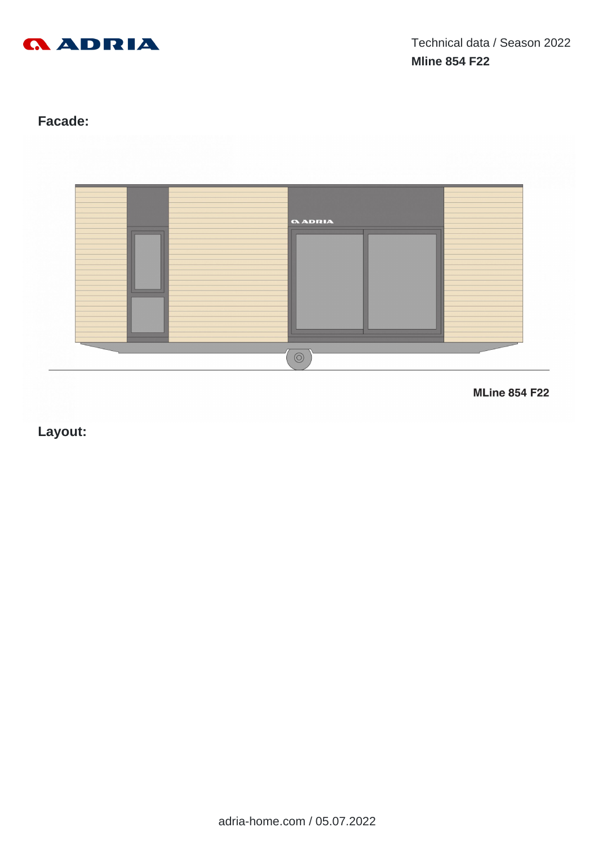

# **Facade:**



**MLine 854 F22** 

**Layout:**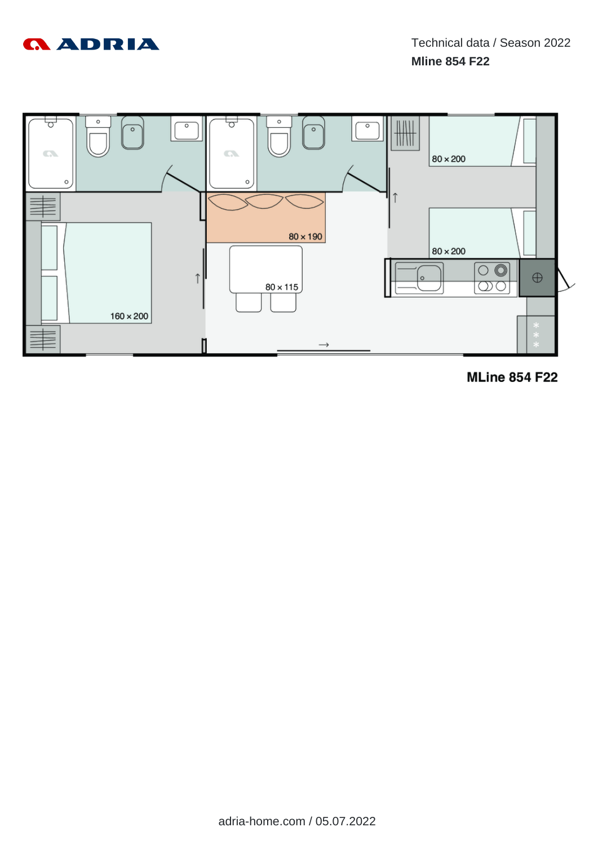



**MLine 854 F22**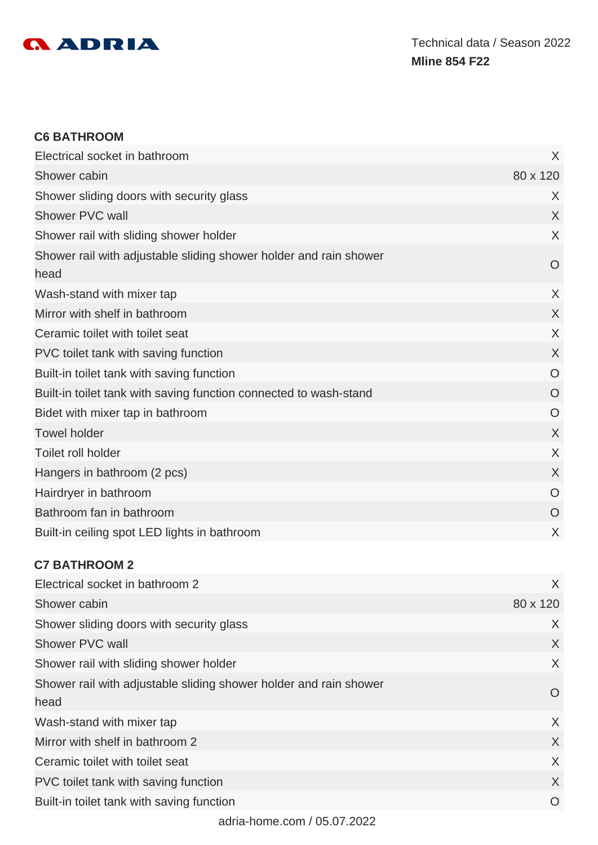

#### **C6 BATHROOM**

| Electrical socket in bathroom                                             | X              |
|---------------------------------------------------------------------------|----------------|
| Shower cabin                                                              | 80 x 120       |
| Shower sliding doors with security glass                                  | X              |
| Shower PVC wall                                                           | X              |
| Shower rail with sliding shower holder                                    | $\sf X$        |
| Shower rail with adjustable sliding shower holder and rain shower<br>head | $\circ$        |
| Wash-stand with mixer tap                                                 | $\chi$         |
| Mirror with shelf in bathroom                                             | $\sf X$        |
| Ceramic toilet with toilet seat                                           | X              |
| PVC toilet tank with saving function                                      | $\chi$         |
| Built-in toilet tank with saving function                                 | $\circ$        |
| Built-in toilet tank with saving function connected to wash-stand         | O              |
| Bidet with mixer tap in bathroom                                          | O              |
| <b>Towel holder</b>                                                       | $\chi$         |
| Toilet roll holder                                                        | X              |
| Hangers in bathroom (2 pcs)                                               | $\chi$         |
| Hairdryer in bathroom                                                     | $\overline{O}$ |
| Bathroom fan in bathroom                                                  | $\overline{O}$ |
| Built-in ceiling spot LED lights in bathroom                              | X              |

#### **C7 BATHROOM 2**

| Electrical socket in bathroom 2                                   | X        |
|-------------------------------------------------------------------|----------|
| Shower cabin                                                      | 80 x 120 |
| Shower sliding doors with security glass                          | X        |
| Shower PVC wall                                                   | X        |
| Shower rail with sliding shower holder                            | X        |
| Shower rail with adjustable sliding shower holder and rain shower | O        |
| head                                                              |          |
| Wash-stand with mixer tap                                         | X        |
| Mirror with shelf in bathroom 2                                   | X        |
| Ceramic toilet with toilet seat                                   | X        |
| PVC toilet tank with saving function                              | X        |
| Built-in toilet tank with saving function                         | O        |
|                                                                   |          |

adria-home.com / 05.07.2022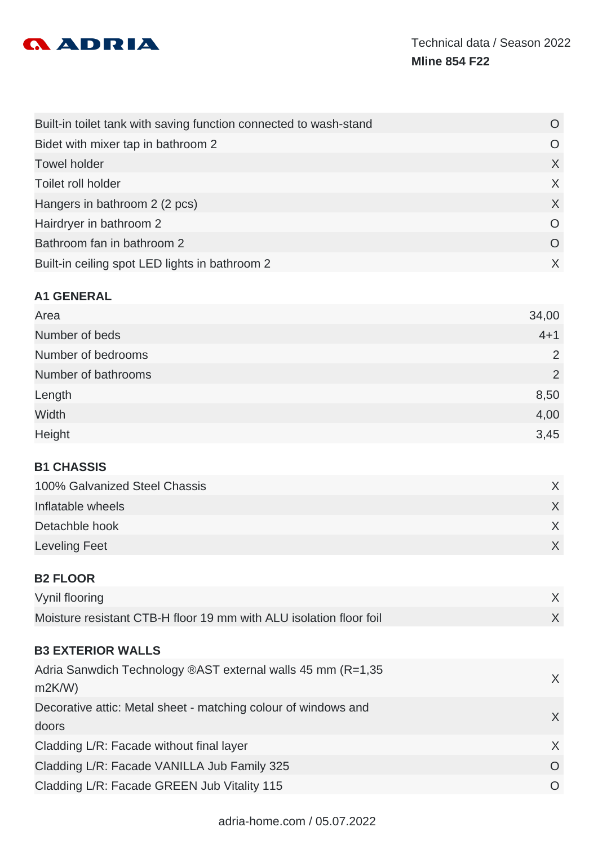

| Built-in toilet tank with saving function connected to wash-stand | $\bigcirc$ |
|-------------------------------------------------------------------|------------|
| Bidet with mixer tap in bathroom 2                                | O          |
| <b>Towel holder</b>                                               | X          |
| Toilet roll holder                                                | X          |
| Hangers in bathroom 2 (2 pcs)                                     | X          |
| Hairdryer in bathroom 2                                           | $\Omega$   |
| Bathroom fan in bathroom 2                                        | $\Omega$   |
| Built-in ceiling spot LED lights in bathroom 2                    | X          |

#### **A1 GENERAL**

| Area                | 34,00          |
|---------------------|----------------|
| Number of beds      | $4 + 1$        |
| Number of bedrooms  | 2              |
| Number of bathrooms | $\overline{2}$ |
| Length              | 8,50           |
| Width               | 4,00           |
| Height              | 3,45           |

# **B1 CHASSIS**

| 100% Galvanized Steel Chassis |  |
|-------------------------------|--|
| Inflatable wheels             |  |
| Detachble hook                |  |
| Leveling Feet                 |  |
|                               |  |

### **B2 FLOOR**

| Vynil flooring                                                     |  |
|--------------------------------------------------------------------|--|
| Moisture resistant CTB-H floor 19 mm with ALU isolation floor foil |  |

# **B3 EXTERIOR WALLS**

| Adria Sanwdich Technology ®AST external walls 45 mm (R=1,35<br>m2K/W | X  |
|----------------------------------------------------------------------|----|
|                                                                      |    |
| Decorative attic: Metal sheet - matching colour of windows and       | X. |
| doors                                                                |    |
| Cladding L/R: Facade without final layer                             | X  |
| Cladding L/R: Facade VANILLA Jub Family 325                          | O  |
| Cladding L/R: Facade GREEN Jub Vitality 115                          |    |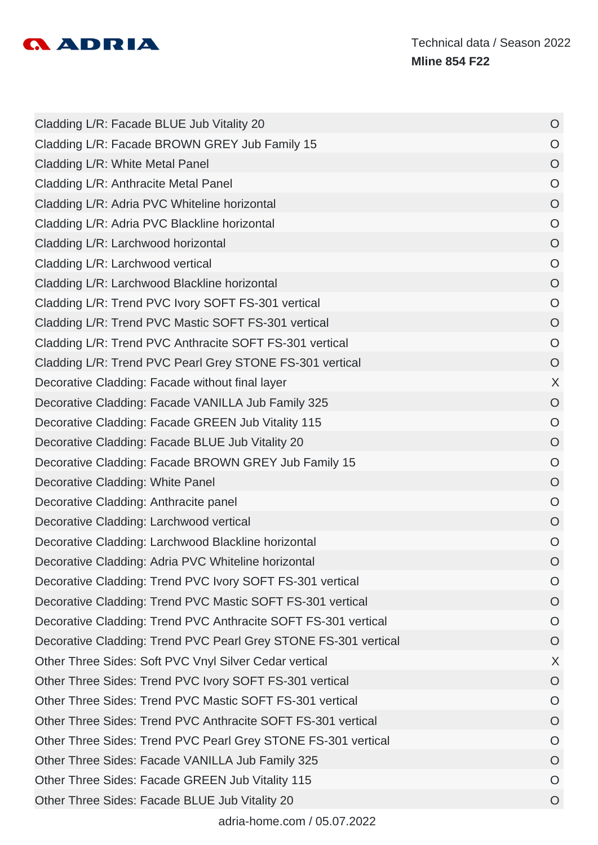

| Cladding L/R: Facade BLUE Jub Vitality 20                       | $\circ$        |
|-----------------------------------------------------------------|----------------|
| Cladding L/R: Facade BROWN GREY Jub Family 15                   | $\circ$        |
| Cladding L/R: White Metal Panel                                 | $\overline{O}$ |
| Cladding L/R: Anthracite Metal Panel                            | $\circ$        |
| Cladding L/R: Adria PVC Whiteline horizontal                    | $\overline{O}$ |
| Cladding L/R: Adria PVC Blackline horizontal                    | $\circ$        |
| Cladding L/R: Larchwood horizontal                              | $\overline{O}$ |
| Cladding L/R: Larchwood vertical                                | $\circ$        |
| Cladding L/R: Larchwood Blackline horizontal                    | $\overline{O}$ |
| Cladding L/R: Trend PVC Ivory SOFT FS-301 vertical              | $\circ$        |
| Cladding L/R: Trend PVC Mastic SOFT FS-301 vertical             | $\overline{O}$ |
| Cladding L/R: Trend PVC Anthracite SOFT FS-301 vertical         | $\circ$        |
| Cladding L/R: Trend PVC Pearl Grey STONE FS-301 vertical        | $\circ$        |
| Decorative Cladding: Facade without final layer                 | X              |
| Decorative Cladding: Facade VANILLA Jub Family 325              | $\overline{O}$ |
| Decorative Cladding: Facade GREEN Jub Vitality 115              | $\circ$        |
| Decorative Cladding: Facade BLUE Jub Vitality 20                | $\overline{O}$ |
| Decorative Cladding: Facade BROWN GREY Jub Family 15            | $\circ$        |
| Decorative Cladding: White Panel                                | $\circ$        |
| Decorative Cladding: Anthracite panel                           | $\overline{O}$ |
| Decorative Cladding: Larchwood vertical                         | $\circ$        |
| Decorative Cladding: Larchwood Blackline horizontal             | $\circ$        |
| Decorative Cladding: Adria PVC Whiteline horizontal             | $\circ$        |
| Decorative Cladding: Trend PVC Ivory SOFT FS-301 vertical       | $\circ$        |
| Decorative Cladding: Trend PVC Mastic SOFT FS-301 vertical      | $\circ$        |
| Decorative Cladding: Trend PVC Anthracite SOFT FS-301 vertical  | $\circ$        |
| Decorative Cladding: Trend PVC Pearl Grey STONE FS-301 vertical | $\overline{O}$ |
| Other Three Sides: Soft PVC Vnyl Silver Cedar vertical          | X              |
| Other Three Sides: Trend PVC Ivory SOFT FS-301 vertical         | $\overline{O}$ |
| Other Three Sides: Trend PVC Mastic SOFT FS-301 vertical        | $\overline{O}$ |
| Other Three Sides: Trend PVC Anthracite SOFT FS-301 vertical    | $\circ$        |
| Other Three Sides: Trend PVC Pearl Grey STONE FS-301 vertical   | $\circ$        |
| Other Three Sides: Facade VANILLA Jub Family 325                | $\circ$        |
| Other Three Sides: Facade GREEN Jub Vitality 115                | O              |
| Other Three Sides: Facade BLUE Jub Vitality 20                  | $\circ$        |
|                                                                 |                |

adria-home.com / 05.07.2022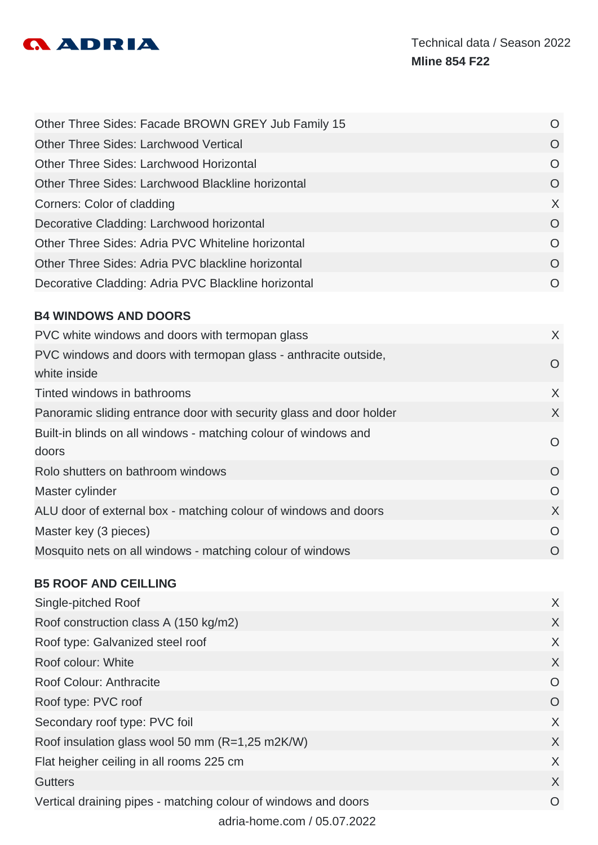

| Other Three Sides: Facade BROWN GREY Jub Family 15                              | O              |
|---------------------------------------------------------------------------------|----------------|
| Other Three Sides: Larchwood Vertical                                           | $\overline{O}$ |
| Other Three Sides: Larchwood Horizontal                                         | $\overline{O}$ |
| Other Three Sides: Larchwood Blackline horizontal                               | $\Omega$       |
| Corners: Color of cladding                                                      | X              |
| Decorative Cladding: Larchwood horizontal                                       | $\overline{O}$ |
| Other Three Sides: Adria PVC Whiteline horizontal                               | O              |
| Other Three Sides: Adria PVC blackline horizontal                               | $\overline{O}$ |
| Decorative Cladding: Adria PVC Blackline horizontal                             | $\overline{O}$ |
| <b>B4 WINDOWS AND DOORS</b>                                                     |                |
| PVC white windows and doors with termopan glass                                 | X              |
| PVC windows and doors with termopan glass - anthracite outside,<br>white inside | O              |
| Tinted windows in bathrooms                                                     | $\sf X$        |
| Panoramic sliding entrance door with security glass and door holder             | $\sf X$        |
| Built-in blinds on all windows - matching colour of windows and<br>doors        | $\circ$        |
| Rolo shutters on bathroom windows                                               | O              |
| Master cylinder                                                                 | O              |
| ALU door of external box - matching colour of windows and doors                 | X              |
| Master key (3 pieces)                                                           | O              |
| Mosquito nets on all windows - matching colour of windows                       | $\overline{O}$ |
|                                                                                 |                |

# **B5 ROOF AND CEILLING**

| Single-pitched Roof                                            | X      |
|----------------------------------------------------------------|--------|
| Roof construction class A (150 kg/m2)                          | $\chi$ |
| Roof type: Galvanized steel roof                               | X      |
| Roof colour: White                                             | X      |
| Roof Colour: Anthracite                                        | O      |
| Roof type: PVC roof                                            | O      |
| Secondary roof type: PVC foil                                  | X      |
| Roof insulation glass wool 50 mm (R=1,25 m2K/W)                | X      |
| Flat heigher ceiling in all rooms 225 cm                       | X      |
| <b>Gutters</b>                                                 | X      |
| Vertical draining pipes - matching colour of windows and doors | O      |
| adria-home.com / 05.07.2022                                    |        |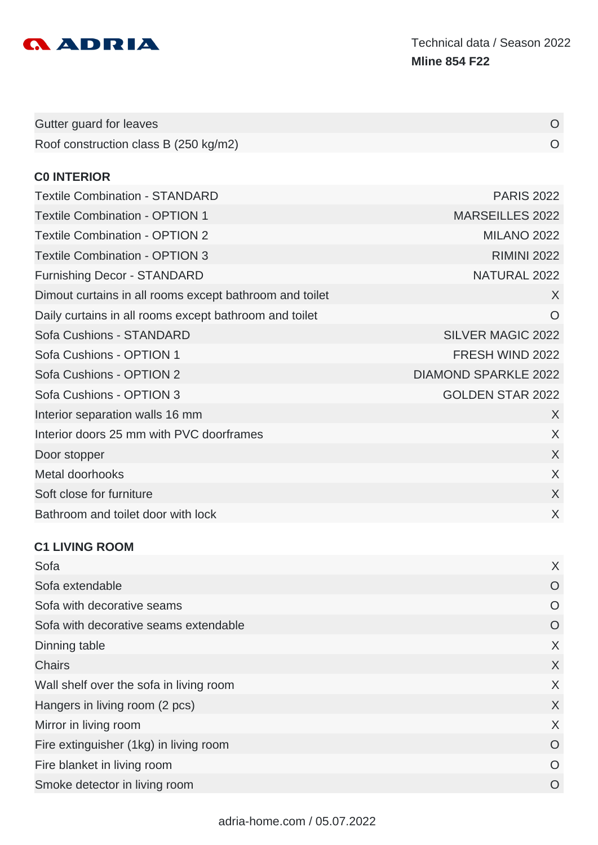

| Gutter guard for leaves                                 | O                           |
|---------------------------------------------------------|-----------------------------|
| Roof construction class B (250 kg/m2)                   | $\Omega$                    |
| <b>CO INTERIOR</b>                                      |                             |
| <b>Textile Combination - STANDARD</b>                   | <b>PARIS 2022</b>           |
| <b>Textile Combination - OPTION 1</b>                   | <b>MARSEILLES 2022</b>      |
| <b>Textile Combination - OPTION 2</b>                   | <b>MILANO 2022</b>          |
| <b>Textile Combination - OPTION 3</b>                   | <b>RIMINI 2022</b>          |
| <b>Furnishing Decor - STANDARD</b>                      | <b>NATURAL 2022</b>         |
| Dimout curtains in all rooms except bathroom and toilet | X                           |
| Daily curtains in all rooms except bathroom and toilet  | $\overline{O}$              |
| Sofa Cushions - STANDARD                                | <b>SILVER MAGIC 2022</b>    |
| Sofa Cushions - OPTION 1                                | FRESH WIND 2022             |
| Sofa Cushions - OPTION 2                                | <b>DIAMOND SPARKLE 2022</b> |
| Sofa Cushions - OPTION 3                                | <b>GOLDEN STAR 2022</b>     |
| Interior separation walls 16 mm                         | X                           |
| Interior doors 25 mm with PVC doorframes                | X                           |
| Door stopper                                            | X                           |
| Metal doorhooks                                         | X                           |
| Soft close for furniture                                | X                           |
| Bathroom and toilet door with lock                      | X                           |
|                                                         |                             |

# **C1 LIVING ROOM**

| Sofa                                    | X       |
|-----------------------------------------|---------|
| Sofa extendable                         | O       |
| Sofa with decorative seams              | O       |
| Sofa with decorative seams extendable   | $\circ$ |
| Dinning table                           | X       |
| <b>Chairs</b>                           | X       |
| Wall shelf over the sofa in living room | $\chi$  |
| Hangers in living room (2 pcs)          | $\chi$  |
| Mirror in living room                   | X       |
| Fire extinguisher (1kg) in living room  | $\circ$ |
| Fire blanket in living room             | $\circ$ |
| Smoke detector in living room           | O       |
|                                         |         |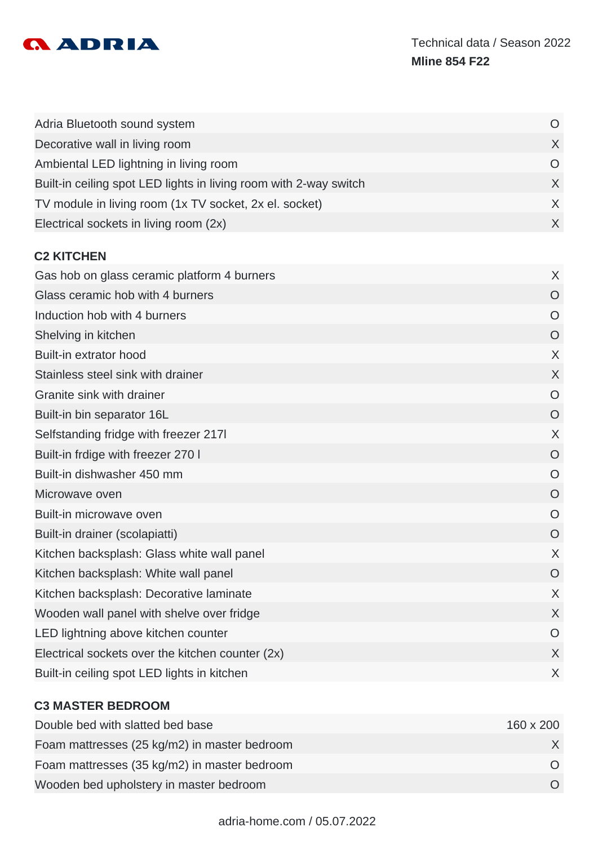

| Adria Bluetooth sound system                                      | $\Omega$ |
|-------------------------------------------------------------------|----------|
| Decorative wall in living room                                    | $\chi$   |
| Ambiental LED lightning in living room                            | $\Omega$ |
| Built-in ceiling spot LED lights in living room with 2-way switch | $\chi$   |
| TV module in living room (1x TV socket, 2x el. socket)            | $\chi$   |
| Electrical sockets in living room (2x)                            |          |

### **C2 KITCHEN**

| Gas hob on glass ceramic platform 4 burners      | X              |
|--------------------------------------------------|----------------|
| Glass ceramic hob with 4 burners                 | $\overline{O}$ |
| Induction hob with 4 burners                     | $\overline{O}$ |
| Shelving in kitchen                              | $\overline{O}$ |
| Built-in extrator hood                           | X              |
| Stainless steel sink with drainer                | X              |
| Granite sink with drainer                        | $\overline{O}$ |
| Built-in bin separator 16L                       | $\overline{O}$ |
| Selfstanding fridge with freezer 2171            | X              |
| Built-in frdige with freezer 270 I               | $\overline{O}$ |
| Built-in dishwasher 450 mm                       | $\overline{O}$ |
| Microwave oven                                   | $\overline{O}$ |
| Built-in microwave oven                          | $\overline{O}$ |
| Built-in drainer (scolapiatti)                   | $\overline{O}$ |
| Kitchen backsplash: Glass white wall panel       | X              |
| Kitchen backsplash: White wall panel             | $\overline{O}$ |
| Kitchen backsplash: Decorative laminate          | X              |
| Wooden wall panel with shelve over fridge        | X              |
| LED lightning above kitchen counter              | $\overline{O}$ |
| Electrical sockets over the kitchen counter (2x) | X              |
| Built-in ceiling spot LED lights in kitchen      | X              |

#### **C3 MASTER BEDROOM**

| Double bed with slatted bed base             | $160 \times 200$ |
|----------------------------------------------|------------------|
| Foam mattresses (25 kg/m2) in master bedroom |                  |
| Foam mattresses (35 kg/m2) in master bedroom |                  |
| Wooden bed upholstery in master bedroom      |                  |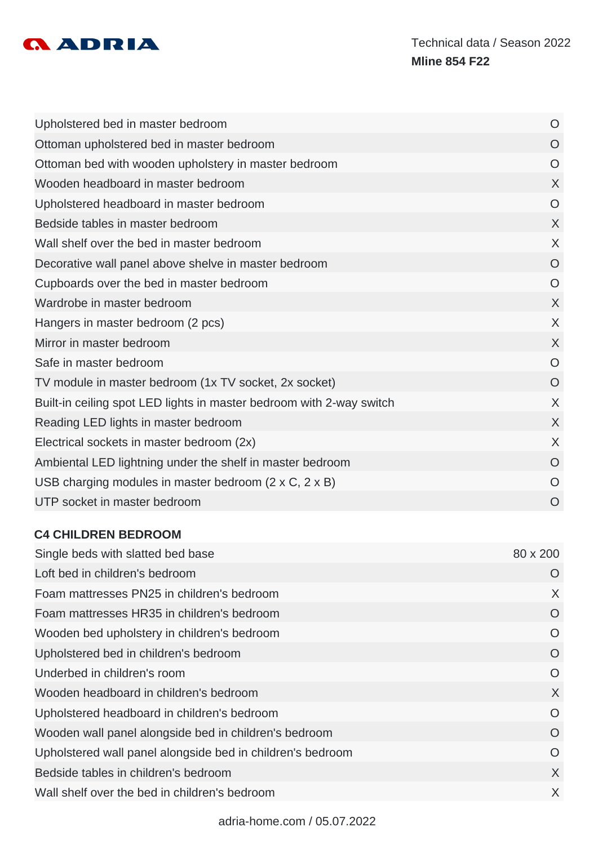

| Upholstered bed in master bedroom                                    | O              |
|----------------------------------------------------------------------|----------------|
| Ottoman upholstered bed in master bedroom                            | O              |
| Ottoman bed with wooden upholstery in master bedroom                 | O              |
| Wooden headboard in master bedroom                                   | X              |
| Upholstered headboard in master bedroom                              | $\overline{O}$ |
| Bedside tables in master bedroom                                     | X              |
| Wall shelf over the bed in master bedroom                            | X              |
| Decorative wall panel above shelve in master bedroom                 | $\overline{O}$ |
| Cupboards over the bed in master bedroom                             | $\circ$        |
| Wardrobe in master bedroom                                           | X              |
| Hangers in master bedroom (2 pcs)                                    | X              |
| Mirror in master bedroom                                             | X              |
| Safe in master bedroom                                               | $\overline{O}$ |
| TV module in master bedroom (1x TV socket, 2x socket)                | $\overline{O}$ |
| Built-in ceiling spot LED lights in master bedroom with 2-way switch | X              |
| Reading LED lights in master bedroom                                 | X              |
| Electrical sockets in master bedroom (2x)                            | X              |
| Ambiental LED lightning under the shelf in master bedroom            | $\overline{O}$ |
| USB charging modules in master bedroom (2 x C, 2 x B)                | O              |
| UTP socket in master bedroom                                         | $\circ$        |

## **C4 CHILDREN BEDROOM**

| 80 x 200 |
|----------|
| O        |
| X        |
| O        |
| $\Omega$ |
| O        |
| O        |
| X        |
| $\Omega$ |
| $\Omega$ |
| O        |
| X        |
| X        |
|          |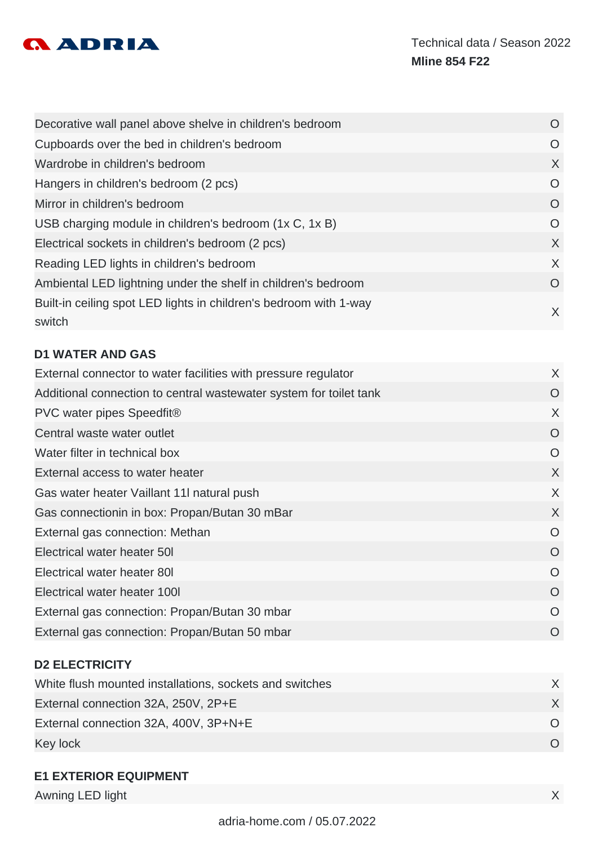

| Decorative wall panel above shelve in children's bedroom                    | O              |
|-----------------------------------------------------------------------------|----------------|
| Cupboards over the bed in children's bedroom                                | $\circ$        |
| Wardrobe in children's bedroom                                              | $\sf X$        |
| Hangers in children's bedroom (2 pcs)                                       | $\circ$        |
| Mirror in children's bedroom                                                | $\circ$        |
| USB charging module in children's bedroom (1x C, 1x B)                      | $\circ$        |
| Electrical sockets in children's bedroom (2 pcs)                            | X              |
| Reading LED lights in children's bedroom                                    | X              |
| Ambiental LED lightning under the shelf in children's bedroom               | $\overline{O}$ |
| Built-in ceiling spot LED lights in children's bedroom with 1-way<br>switch | X              |

# **D1 WATER AND GAS**

| External connector to water facilities with pressure regulator     | X        |
|--------------------------------------------------------------------|----------|
| Additional connection to central wastewater system for toilet tank | O        |
| PVC water pipes Speedfit®                                          | X        |
| Central waste water outlet                                         | O        |
| Water filter in technical box                                      | O        |
| External access to water heater                                    | X        |
| Gas water heater Vaillant 11I natural push                         | X        |
| Gas connectionin in box: Propan/Butan 30 mBar                      | X        |
| External gas connection: Methan                                    | O        |
| Electrical water heater 50I                                        | $\circ$  |
| Electrical water heater 80I                                        | $\Omega$ |
| Electrical water heater 1001                                       | O        |
| External gas connection: Propan/Butan 30 mbar                      | $\Omega$ |
| External gas connection: Propan/Butan 50 mbar                      | O        |
|                                                                    |          |

# **D2 ELECTRICITY**

| White flush mounted installations, sockets and switches |  |
|---------------------------------------------------------|--|
| External connection 32A, 250V, 2P+E                     |  |
| External connection 32A, 400V, 3P+N+E                   |  |
| Key lock                                                |  |

## **E1 EXTERIOR EQUIPMENT**

Awning LED light X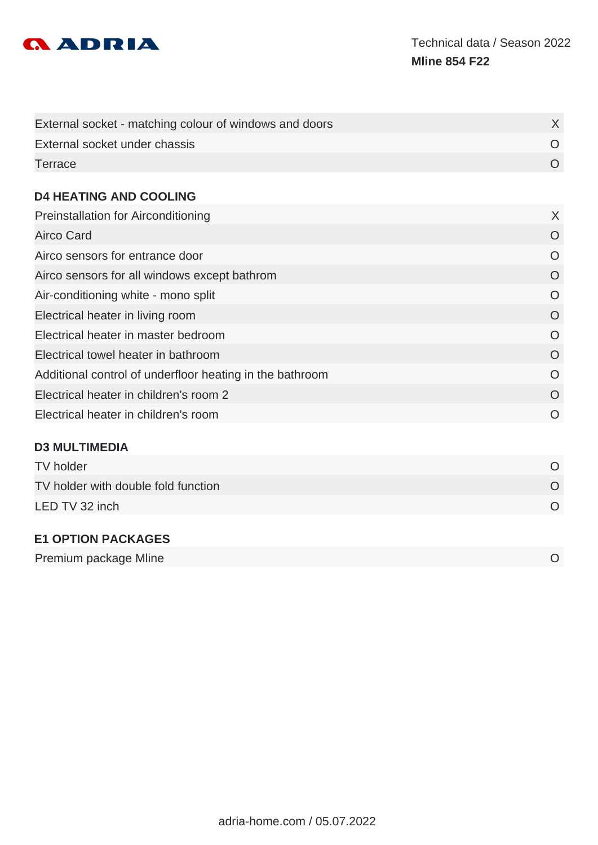

| External socket - matching colour of windows and doors |  |
|--------------------------------------------------------|--|
| External socket under chassis                          |  |
| Terrace                                                |  |

#### **D4 HEATING AND COOLING**

| X              |
|----------------|
| O              |
| O              |
| O              |
| O              |
| $\overline{O}$ |
| $\Omega$       |
| O              |
| $\Omega$       |
| O              |
| O              |
|                |

## **D3 MULTIMEDIA**

| TV holder                           |  |
|-------------------------------------|--|
| TV holder with double fold function |  |
| LED TV 32 inch                      |  |

#### **E1 OPTION PACKAGES**

| Premium package Mline |  |
|-----------------------|--|
|                       |  |